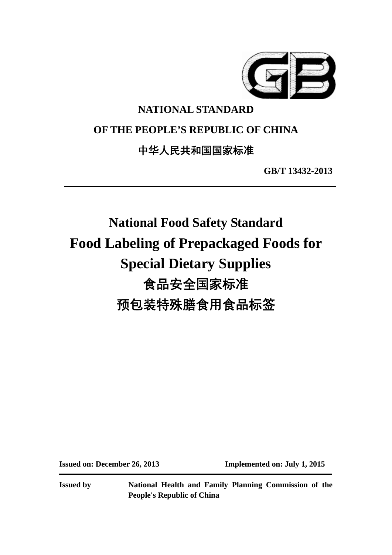

# **NATIONAL STANDARD**

# **OF THE PEOPLE'S REPUBLIC OF CHINA**

# 中华人民共和国国家标准

**GB/T 13432-2013** 

# **National Food Safety Standard Food Labeling of Prepackaged Foods for Special Dietary Supplies** 食品安全国家标准 预包装特殊膳食用食品标签

**Issued on: December 26, 2013 Implemented on: July 1, 2015** 

**Issued by National Health and Family Planning Commission of the People's Republic of China**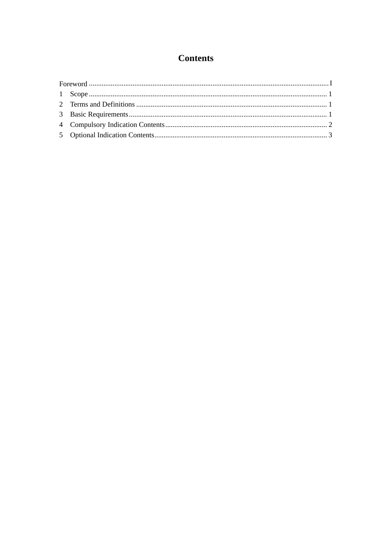# **Contents**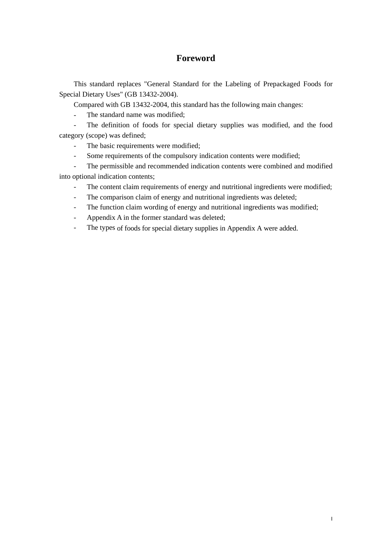### **Foreword**

This standard replaces "General Standard for the Labeling of Prepackaged Foods for Special Dietary Uses" (GB 13432-2004).

Compared with GB 13432-2004, this standard has the following main changes:

- The standard name was modified;

- The definition of foods for special dietary supplies was modified, and the food category (scope) was defined;

- The basic requirements were modified;
- Some requirements of the compulsory indication contents were modified;

The permissible and recommended indication contents were combined and modified into optional indication contents;

- The content claim requirements of energy and nutritional ingredients were modified;
- The comparison claim of energy and nutritional ingredients was deleted;
- The function claim wording of energy and nutritional ingredients was modified;
- Appendix A in the former standard was deleted;
- The types of foods for special dietary supplies in Appendix A were added.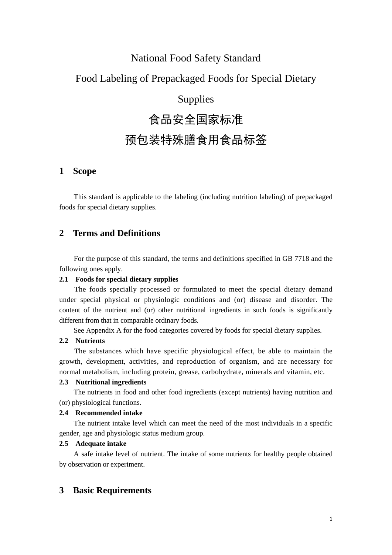### National Food Safety Standard

# Food Labeling of Prepackaged Foods for Special Dietary

# Supplies

# 食品安全国家标准

# 预包装特殊膳食用食品标签

#### **1 Scope**

This standard is applicable to the labeling (including nutrition labeling) of prepackaged foods for special dietary supplies.

#### **2 Terms and Definitions**

For the purpose of this standard, the terms and definitions specified in GB 7718 and the following ones apply.

#### **2.1 Foods for special dietary supplies**

The foods specially processed or formulated to meet the special dietary demand under special physical or physiologic conditions and (or) disease and disorder. The content of the nutrient and (or) other nutritional ingredients in such foods is significantly different from that in comparable ordinary foods.

See Appendix A for the food categories covered by foods for special dietary supplies.

#### **2.2 Nutrients**

The substances which have specific physiological effect, be able to maintain the growth, development, activities, and reproduction of organism, and are necessary for normal metabolism, including protein, grease, carbohydrate, minerals and vitamin, etc.

#### **2.3 Nutritional ingredients**

The nutrients in food and other food ingredients (except nutrients) having nutrition and (or) physiological functions.

#### **2.4 Recommended intake**

The nutrient intake level which can meet the need of the most individuals in a specific gender, age and physiologic status medium group.

#### **2.5 Adequate intake**

A safe intake level of nutrient. The intake of some nutrients for healthy people obtained by observation or experiment.

#### **3 Basic Requirements**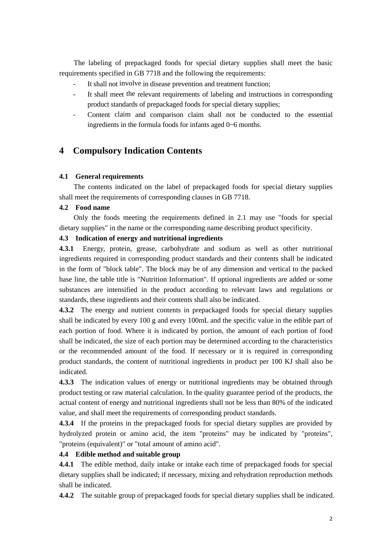The labeling of prepackaged foods for special dietary supplies shall meet the basic requirements specified in GB 7718 and the following the requirements:

- It shall not involve in disease prevention and treatment function;
- It shall meet the relevant requirements of labeling and instructions in corresponding product standards of prepackaged foods for special dietary supplies;
- Content claim and comparison claim shall not be conducted to the essential ingredients in the formula foods for infants aged 0~6 months.

### **4 Compulsory Indication Contents**

#### **4.1 General requirements**

The contents indicated on the label of prepackaged foods for special dietary supplies shall meet the requirements of corresponding clauses in GB 7718.

#### **4.2 Food name**

Only the foods meeting the requirements defined in 2.1 may use "foods for special dietary supplies" in the name or the corresponding name describing product specificity.

#### **4.3 Indication of energy and nutritional ingredients**

**4.3.1** Energy, protein, grease, carbohydrate and sodium as well as other nutritional ingredients required in corresponding product standards and their contents shall be indicated in the form of "block table". The block may be of any dimension and vertical to the packed base line, the table title is "Nutrition Information". If optional ingredients are added or some substances are intensified in the product according to relevant laws and regulations or standards, these ingredients and their contents shall also be indicated.

**4.3.2** The energy and nutrient contents in prepackaged foods for special dietary supplies shall be indicated by every 100 g and every 100mL and the specific value in the edible part of each portion of food. Where it is indicated by portion, the amount of each portion of food shall be indicated, the size of each portion may be determined according to the characteristics or the recommended amount of the food. If necessary or it is required in corresponding product standards, the content of nutritional ingredients in product per 100 KJ shall also be indicated.

**4.3.3** The indication values of energy or nutritional ingredients may be obtained through product testing or raw material calculation. In the quality guarantee period of the products, the actual content of energy and nutritional ingredients shall not be less than 80% of the indicated value, and shall meet the requirements of corresponding product standards.

**4.3.4** If the proteins in the prepackaged foods for special dietary supplies are provided by hydrolyzed protein or amino acid, the item "proteins" may be indicated by "proteins", "proteins (equivalent)" or "total amount of amino acid".

#### **4.4 Edible method and suitable group**

**4.4.1** The edible method, daily intake or intake each time of prepackaged foods for special dietary supplies shall be indicated; if necessary, mixing and rehydration reproduction methods shall be indicated.

**4.4.2** The suitable group of prepackaged foods for special dietary supplies shall be indicated.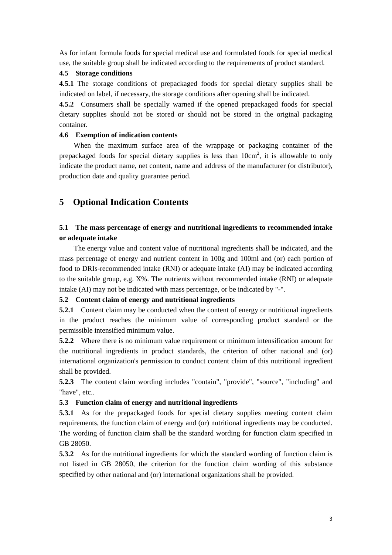As for infant formula foods for special medical use and formulated foods for special medical use, the suitable group shall be indicated according to the requirements of product standard.

#### **4.5 Storage conditions**

**4.5.1** The storage conditions of prepackaged foods for special dietary supplies shall be indicated on label, if necessary, the storage conditions after opening shall be indicated.

**4.5.2** Consumers shall be specially warned if the opened prepackaged foods for special dietary supplies should not be stored or should not be stored in the original packaging container.

#### **4.6 Exemption of indication contents**

When the maximum surface area of the wrappage or packaging container of the prepackaged foods for special dietary supplies is less than  $10 \text{cm}^2$ , it is allowable to only indicate the product name, net content, name and address of the manufacturer (or distributor), production date and quality guarantee period.

### **5 Optional Indication Contents**

#### **5.1 The mass percentage of energy and nutritional ingredients to recommended intake or adequate intake**

The energy value and content value of nutritional ingredients shall be indicated, and the mass percentage of energy and nutrient content in 100g and 100ml and (or) each portion of food to DRIs-recommended intake (RNI) or adequate intake (AI) may be indicated according to the suitable group, e.g. X%. The nutrients without recommended intake (RNI) or adequate intake (AI) may not be indicated with mass percentage, or be indicated by "-".

#### **5.2 Content claim of energy and nutritional ingredients**

**5.2.1** Content claim may be conducted when the content of energy or nutritional ingredients in the product reaches the minimum value of corresponding product standard or the permissible intensified minimum value.

**5.2.2** Where there is no minimum value requirement or minimum intensification amount for the nutritional ingredients in product standards, the criterion of other national and (or) international organization's permission to conduct content claim of this nutritional ingredient shall be provided.

**5.2.3** The content claim wording includes "contain", "provide", "source", "including" and "have", etc..

#### **5.3 Function claim of energy and nutritional ingredients**

**5.3.1** As for the prepackaged foods for special dietary supplies meeting content claim requirements, the function claim of energy and (or) nutritional ingredients may be conducted. The wording of function claim shall be the standard wording for function claim specified in GB 28050.

**5.3.2** As for the nutritional ingredients for which the standard wording of function claim is not listed in GB 28050, the criterion for the function claim wording of this substance specified by other national and (or) international organizations shall be provided.